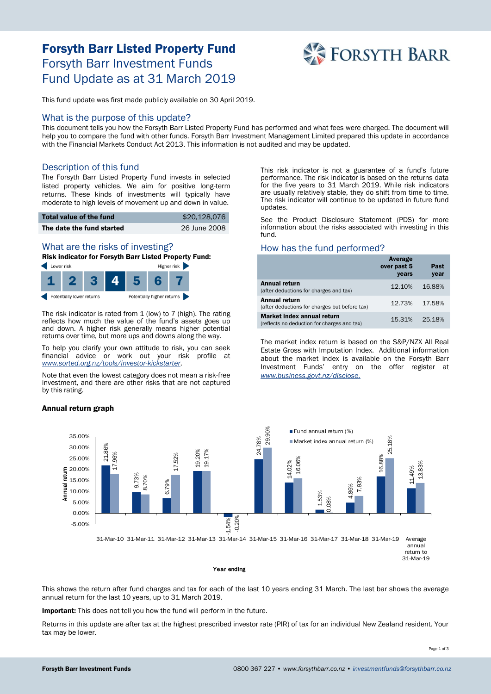# Forsyth Barr Listed Property Fund Forsyth Barr Investment Funds Fund Update as at 31 March 2019



This fund update was first made publicly available on 30 April 2019.

### What is the purpose of this update?

This document tells you how the Forsyth Barr Listed Property Fund has performed and what fees were charged. The document will help you to compare the fund with other funds. Forsyth Barr Investment Management Limited prepared this update in accordance with the Financial Markets Conduct Act 2013. This information is not audited and may be updated.

## Description of this fund

The Forsyth Barr Listed Property Fund invests in selected listed property vehicles. We aim for positive long-term returns. These kinds of investments will typically have moderate to high levels of movement up and down in value.

| Total value of the fund   | \$20,128,076 |
|---------------------------|--------------|
| The date the fund started | 26 June 2008 |

# What are the risks of investing?

Risk indicator for Forsyth Barr Listed Property Fund:



The risk indicator is rated from 1 (low) to 7 (high). The rating reflects how much the value of the fund's assets goes up and down. A higher risk generally means higher potential returns over time, but more ups and downs along the way.

To help you clarify your own attitude to risk, you can seek financial advice or work out your risk profile at *[www.sorted.org.nz/tools/investor-kickstarter](http://www.sorted.org.nz/tools/investor-kickstarter)*.

Note that even the lowest category does not mean a risk-free investment, and there are other risks that are not captured by this rating.

#### Annual return graph

This risk indicator is not a guarantee of a fund's future performance. The risk indicator is based on the returns data for the five years to 31 March 2019. While risk indicators are usually relatively stable, they do shift from time to time. The risk indicator will continue to be updated in future fund updates.

See the Product Disclosure Statement (PDS) for more information about the risks associated with investing in this fund.

## How has the fund performed?

|                                                                           | Average<br>over past 5<br>years | Past<br>year |
|---------------------------------------------------------------------------|---------------------------------|--------------|
| <b>Annual return</b><br>(after deductions for charges and tax)            | 12.10%                          | 16.88%       |
| <b>Annual return</b><br>(after deductions for charges but before tax)     | 12.73%                          | 17.58%       |
| Market index annual return<br>(reflects no deduction for charges and tax) | 15.31%                          | 25.18%       |

The market index return is based on the S&P/NZX All Real Estate Gross with Imputation Index. Additional information about the market index is available on the Forsyth Barr Investment Funds' entry on the offer register at *[www.business.govt.nz/disclose.](http://www.business.govt.nz/disclose)*



This shows the return after fund charges and tax for each of the last 10 years ending 31 March. The last bar shows the average annual return for the last 10 years, up to 31 March 2019.

Important: This does not tell you how the fund will perform in the future.

Returns in this update are after tax at the highest prescribed investor rate (PIR) of tax for an individual New Zealand resident. Your tax may be lower.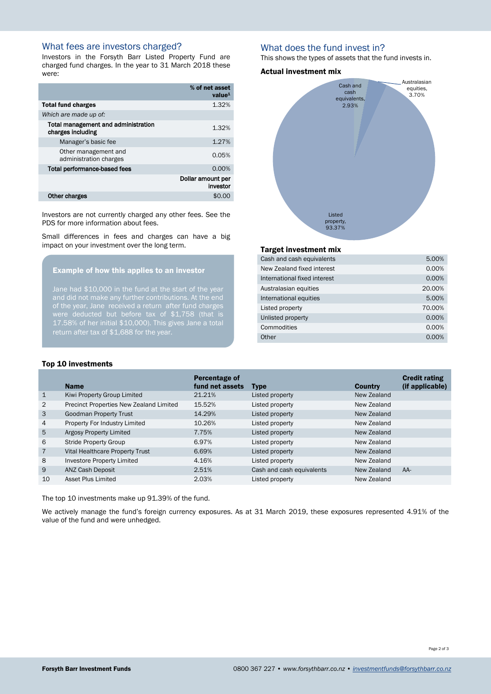## What fees are investors charged?

Investors in the Forsyth Barr Listed Property Fund are charged fund charges. In the year to 31 March 2018 these were:

|                                                          | % of net asset<br>value <sup>1</sup> |
|----------------------------------------------------------|--------------------------------------|
| <b>Total fund charges</b>                                | 1.32%                                |
| Which are made up of:                                    |                                      |
| Total management and administration<br>charges including | 1.32%                                |
| Manager's basic fee                                      | 1.27%                                |
| Other management and<br>administration charges           | 0.05%                                |
| <b>Total performance-based fees</b>                      | 0.00%                                |
|                                                          | Dollar amount per<br>investor        |
| Other charges                                            | \$0.0                                |

Investors are not currently charged any other fees. See the PDS for more information about fees.

Small differences in fees and charges can have a big impact on your investment over the long term.

## Example of how this applies to an investor

Jane had \$10,000 in the fund at the start of the year of the year, Jane received a return after fund charges 17.58% of her initial \$10,000). This gives Jane a total return after tax of \$1,688 for the year.

#### Top 10 investments

#### Name Percentage of fund net assets Type Country Credit rating (if applicable) 1 Kiwi Property Group Limited 21.21% Listed property New Zealand 2 Precinct Properties New Zealand Limited 15.52% Listed property New Zealand 3 Goodman Property Trust 14.29% Listed property New Zealand 4 Property For Industry Limited 10.26% Listed property New Zealand 5 Argosy Property Limited **7.75%** Listed property New Zealand 6 Stride Property Group 6.97% Listed property New Zealand 7 Vital Healthcare Property Trust 6.69% Listed property New Zealand 8 Investore Property Limited 2.16% Listed property New Zealand 9 ANZ Cash Deposit 2.51% Cash and cash equivalents New Zealand AA-

The top 10 investments make up 91.39% of the fund.

We actively manage the fund's foreign currency exposures. As at 31 March 2019, these exposures represented 4.91% of the value of the fund and were unhedged.

10 Asset Plus Limited 2.03% Listed property New Zealand

## What does the fund invest in?

This shows the types of assets that the fund invests in.

#### Actual investment mix



#### Target investment mix

| Cash and cash equivalents    | 5.00%  |
|------------------------------|--------|
| New Zealand fixed interest   | 0.00%  |
| International fixed interest | 0.00%  |
| Australasian equities        | 20.00% |
| International equities       | 5.00%  |
| Listed property              | 70.00% |
| Unlisted property            | 0.00%  |
| Commodities                  | 0.00%  |
| Other                        | 0.00%  |